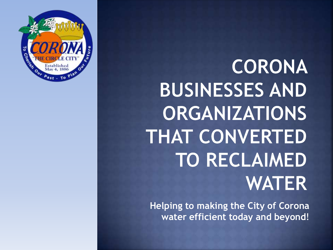

CORONA **BUSINESSES AND ORGANIZATIONS THAT CONVERTED TO RECLAIMED WATER** 

**Helping to making the City of Corona water efficient today and beyond**!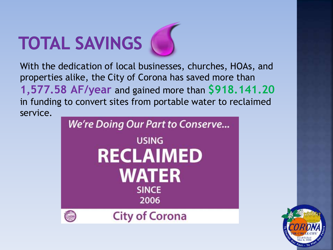# TOTAL SAVINGS

With the dedication of local businesses, churches, HOAs, and properties alike, the City of Corona has saved more than **1,577.58 AF/year** and gained more than **\$918.141.20**  in funding to convert sites from portable water to reclaimed service.



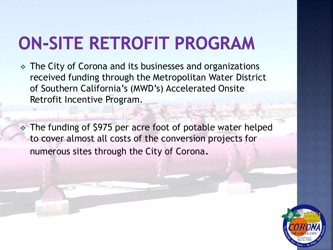## **ON-SITE RETROFIT PROGRAM**

• The City of Corona and its businesses and organizations received funding through the Metropolitan Water District of Southern California's (MWD's) Accelerated Onsite Retrofit Incentive Program.

 The funding of \$975 per acre foot of potable water helped to cover almost all costs of the conversion projects for numerous sites through the City of Corona.

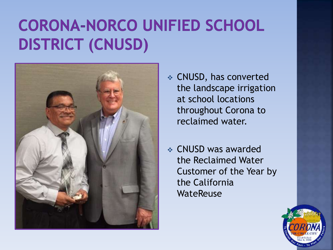#### **CORONA-NORCO UNIFIED SCHOOL DISTRICT (CNUSD)**



- CNUSD, has converted the landscape irrigation at school locations throughout Corona to reclaimed water.
- CNUSD was awarded the Reclaimed Water Customer of the Year by the California WateReuse

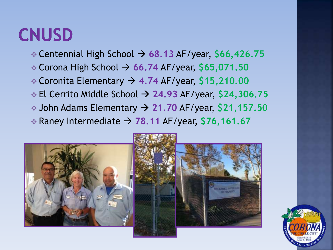#### **CNUSD**

- Centennial High School **68.13** AF/year, **\$66,426.75**
- Corona High School **66.74** AF/year, **\$65,071.50**
- Coronita Elementary **4.74** AF/year, **\$15,210.00**
- El Cerrito Middle School **24.93** AF/year, **\$24,306.75**
- John Adams Elementary **21.70** AF/year, **\$21,157.50**
- $\div$  Raney Intermediate  $\rightarrow$  78.11 AF/year, \$76,161.67



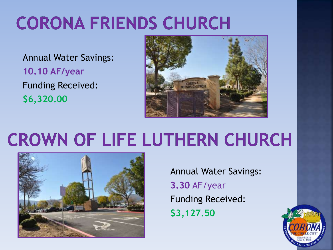## **CORONA FRIENDS CHURCH**

Annual Water Savings: **10.10 AF/year** Funding Received: **\$6,320.00**



## **CROWN OF LIFE LUTHERN CHURCH**



Annual Water Savings: **3.30** AF/year Funding Received: **\$3,127.50**

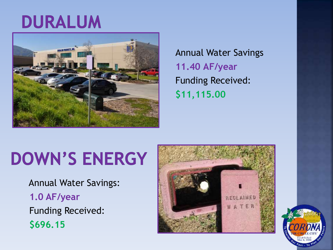#### DURALUM



Annual Water Savings **11.40 AF/year** Funding Received: **\$11,115.00**

### **DOWN'S ENERGY**

 Annual Water Savings: **1.0 AF/year**  Funding Received:  **\$696.15**



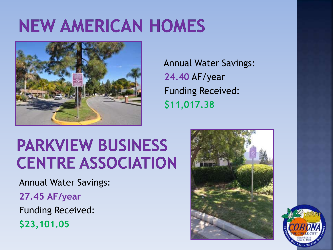### **NEW AMERICAN HOMES**



 Annual Water Savings:  **24.40** AF/year Funding Received: **\$11,017.38**

#### **PARKVIEW BUSINESS CENTRE ASSOCIATION**

Annual Water Savings:

**27.45 AF/year**

Funding Received:

**\$23,101.05**



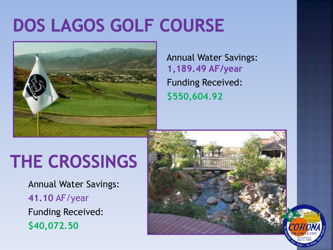### DOS LAGOS GOLF COURSE



 Annual Water Savings:  **1,189.49 AF/year**  Funding Received: **\$550,604.92**

### **THE CROSSINGS**

Annual Water Savings:  **41.10** AF/year Funding Received:  **\$40,072.50**